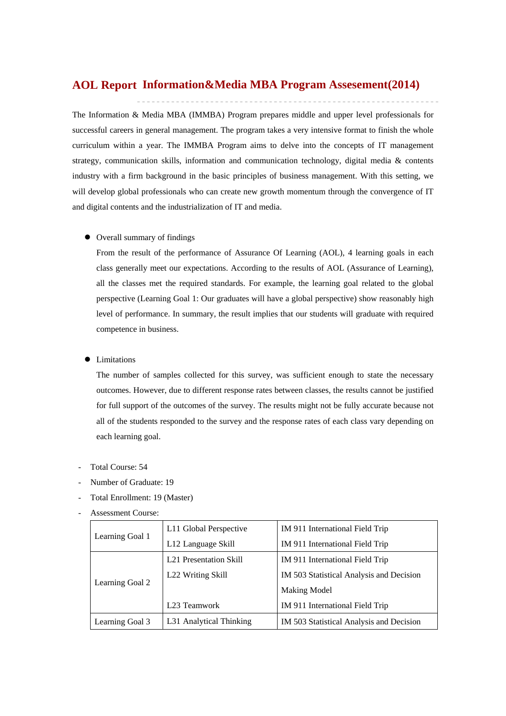# **Information&Media MBA Program Assesement(2014) AOL Report**

The Information & Media MBA (IMMBA) Program prepares middle and upper level professionals for successful careers in general management. The program takes a very intensive format to finish the whole curriculum within a year. The IMMBA Program aims to delve into the concepts of IT management strategy, communication skills, information and communication technology, digital media & contents industry with a firm background in the basic principles of business management. With this setting, we will develop global professionals who can create new growth momentum through the convergence of IT and digital contents and the industrialization of IT and media.

#### Overall summary of findings

From the result of the performance of Assurance Of Learning (AOL), 4 learning goals in each class generally meet our expectations. According to the results of AOL (Assurance of Learning), all the classes met the required standards. For example, the learning goal related to the global perspective (Learning Goal 1: Our graduates will have a global perspective) show reasonably high level of performance. In summary, the result implies that our students will graduate with required competence in business.

#### Limitations

The number of samples collected for this survey, was sufficient enough to state the necessary outcomes. However, due to different response rates between classes, the results cannot be justified for full support of the outcomes of the survey. The results might not be fully accurate because not all of the students responded to the survey and the response rates of each class vary depending on each learning goal.

- Total Course: 54
- Number of Graduate: 19
- Total Enrollment: 19 (Master)
- Assessment Course:

|                 | L11 Global Perspective                                                                      | IM 911 International Field Trip          |  |  |
|-----------------|---------------------------------------------------------------------------------------------|------------------------------------------|--|--|
|                 | Learning Goal 1<br>L12 Language Skill<br><b>L21</b> Presentation Skill<br>L22 Writing Skill | IM 911 International Field Trip          |  |  |
|                 |                                                                                             | IM 911 International Field Trip          |  |  |
| Learning Goal 2 |                                                                                             | IM 503 Statistical Analysis and Decision |  |  |
|                 |                                                                                             | Making Model                             |  |  |
|                 | L <sub>23</sub> Teamwork                                                                    | IM 911 International Field Trip          |  |  |
| Learning Goal 3 | L31 Analytical Thinking                                                                     | IM 503 Statistical Analysis and Decision |  |  |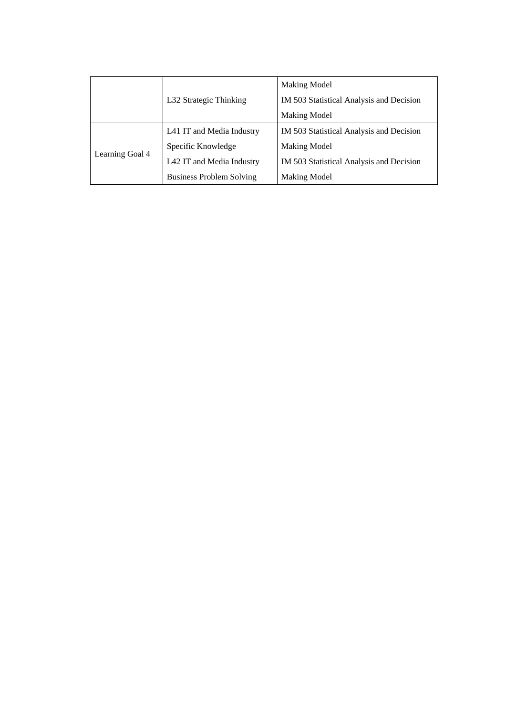|                 |                                 | <b>Making Model</b>                      |  |
|-----------------|---------------------------------|------------------------------------------|--|
|                 | L32 Strategic Thinking          | IM 503 Statistical Analysis and Decision |  |
|                 |                                 | Making Model                             |  |
|                 | L41 IT and Media Industry       | IM 503 Statistical Analysis and Decision |  |
| Learning Goal 4 | Specific Knowledge              | Making Model                             |  |
|                 | L42 IT and Media Industry       | IM 503 Statistical Analysis and Decision |  |
|                 | <b>Business Problem Solving</b> | <b>Making Model</b>                      |  |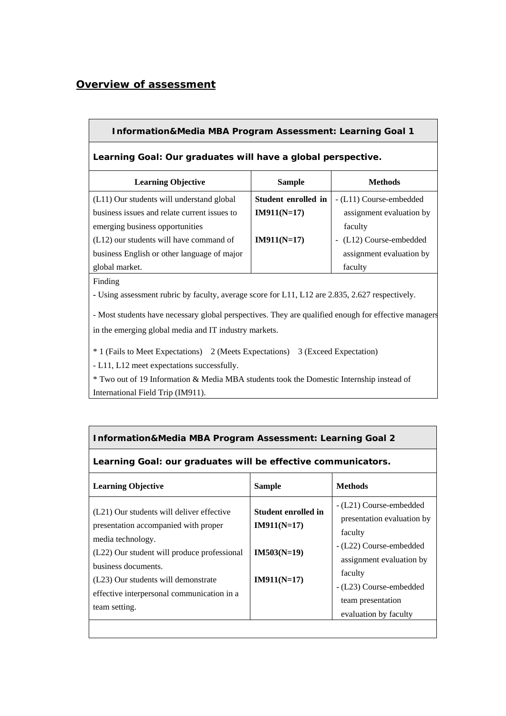# *Overview of assessment*

## **Information&Media MBA Program Assessment: Learning Goal 1**

### **Learning Goal: Our graduates will have a global perspective.**

| <b>Sample</b>       | <b>Methods</b>                                    |
|---------------------|---------------------------------------------------|
| Student enrolled in | - (L11) Course-embedded                           |
| $IM911(N=17)$       | assignment evaluation by                          |
|                     | faculty                                           |
| $IM911(N=17)$       | (L12) Course-embedded<br>$\overline{\phantom{a}}$ |
|                     | assignment evaluation by                          |
|                     | faculty                                           |
|                     |                                                   |

#### Finding

**-** Using assessment rubric by faculty, average score for L11, L12 are 2.835, 2.627 respectively.

- Most students have necessary global perspectives. They are qualified enough for effective managers in the emerging global media and IT industry markets.

\* 1 (Fails to Meet Expectations) 2 (Meets Expectations) 3 (Exceed Expectation)

- L11, L12 meet expectations successfully.

\* Two out of 19 Information & Media MBA students took the Domestic Internship instead of International Field Trip (IM911).

## **Information&Media MBA Program Assessment: Learning Goal 2**

### **Learning Goal: our graduates will be effective communicators.**

| <b>Learning Objective</b>                                                                          | <b>Sample</b>                        | <b>Methods</b>                                                   |
|----------------------------------------------------------------------------------------------------|--------------------------------------|------------------------------------------------------------------|
| (L21) Our students will deliver effective<br>presentation accompanied with proper                  | Student enrolled in<br>$IM911(N=17)$ | - (L21) Course-embedded<br>presentation evaluation by<br>faculty |
| media technology.<br>(L22) Our student will produce professional<br>business documents.            | $IM503(N=19)$                        | - (L22) Course-embedded<br>assignment evaluation by              |
| (L23) Our students will demonstrate<br>effective interpersonal communication in a<br>team setting. | $IM911(N=17)$                        | faculty<br>- (L23) Course-embedded<br>team presentation          |
|                                                                                                    |                                      | evaluation by faculty                                            |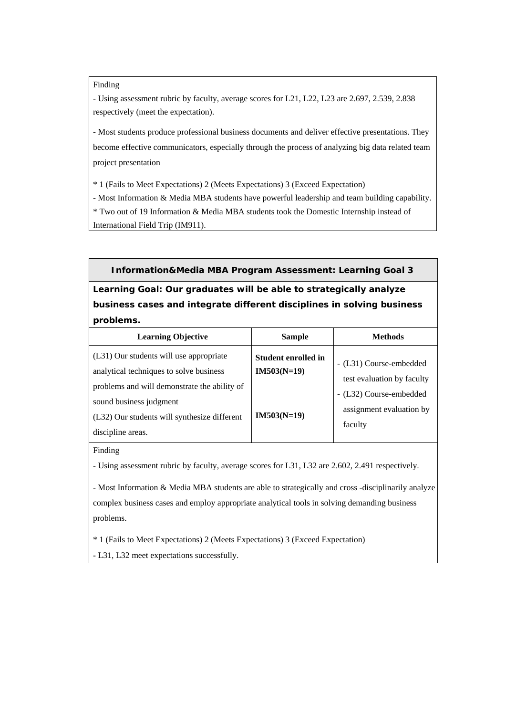Finding

- Using assessment rubric by faculty, average scores for L21, L22, L23 are 2.697, 2.539, 2.838 respectively (meet the expectation).

- Most students produce professional business documents and deliver effective presentations. They become effective communicators, especially through the process of analyzing big data related team project presentation

\* 1 (Fails to Meet Expectations) 2 (Meets Expectations) 3 (Exceed Expectation)

- Most Information & Media MBA students have powerful leadership and team building capability. \* Two out of 19 Information & Media MBA students took the Domestic Internship instead of International Field Trip (IM911).

**Information&Media MBA Program Assessment: Learning Goal 3** 

**Learning Goal: Our graduates will be able to strategically analyze business cases and integrate different disciplines in solving business problems.**

| <b>Learning Objective</b>                                                                                                          | <b>Sample</b>                               | <b>Methods</b>                                                 |
|------------------------------------------------------------------------------------------------------------------------------------|---------------------------------------------|----------------------------------------------------------------|
| (L31) Our students will use appropriate<br>analytical techniques to solve business<br>problems and will demonstrate the ability of | <b>Student enrolled in</b><br>$IM503(N=19)$ | - (L31) Course-embedded<br>test evaluation by faculty          |
| sound business judgment<br>(L32) Our students will synthesize different<br>discipline areas.                                       | $IM503(N=19)$                               | - (L32) Course-embedded<br>assignment evaluation by<br>faculty |

Finding

**-** Using assessment rubric by faculty, average scores for L31, L32 are 2.602, 2.491 respectively.

- Most Information & Media MBA students are able to strategically and cross -disciplinarily analyze complex business cases and employ appropriate analytical tools in solving demanding business problems.

\* 1 (Fails to Meet Expectations) 2 (Meets Expectations) 3 (Exceed Expectation)

**-** L31, L32 meet expectations successfully.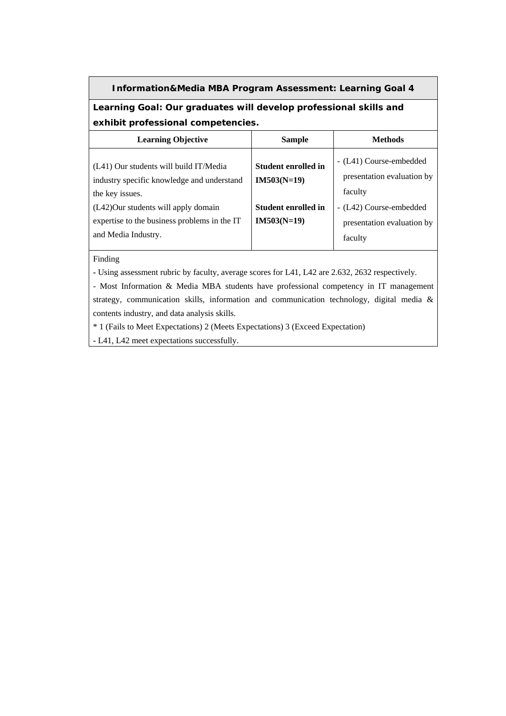## **Information&Media MBA Program Assessment: Learning Goal 4**

**Learning Goal: Our graduates will develop professional skills and exhibit professional competencies.** 

| <b>Sample</b>                               | <b>Methods</b>                                                   |
|---------------------------------------------|------------------------------------------------------------------|
| <b>Student enrolled in</b><br>$IM503(N=19)$ | - (L41) Course-embedded<br>presentation evaluation by<br>faculty |
| <b>Student enrolled in</b>                  | - (L42) Course-embedded                                          |
| $IM503(N=19)$                               | presentation evaluation by<br>faculty                            |
|                                             |                                                                  |

Finding

**-** Using assessment rubric by faculty, average scores for L41, L42 are 2.632, 2632 respectively.

- Most Information & Media MBA students have professional competency in IT management strategy, communication skills, information and communication technology, digital media & contents industry, and data analysis skills.

\* 1 (Fails to Meet Expectations) 2 (Meets Expectations) 3 (Exceed Expectation)

**-** L41, L42 meet expectations successfully.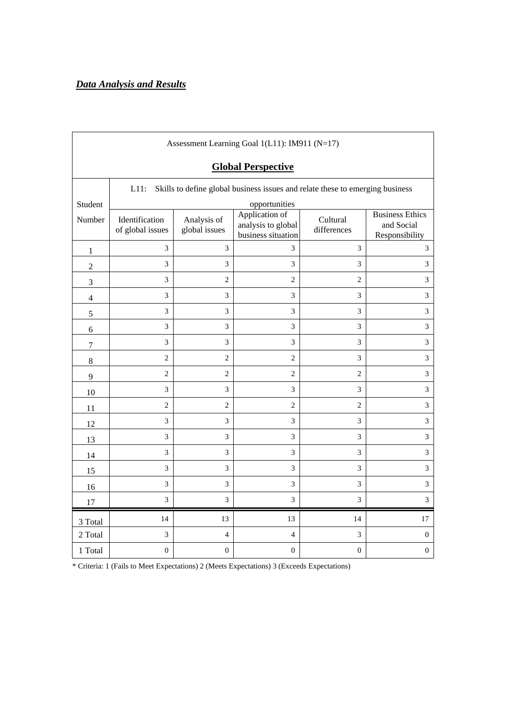| Assessment Learning Goal 1(L11): IM911 (N=17) |                                                                                          |                              |                                                            |                         |                                                        |  |  |  |  |
|-----------------------------------------------|------------------------------------------------------------------------------------------|------------------------------|------------------------------------------------------------|-------------------------|--------------------------------------------------------|--|--|--|--|
|                                               | <b>Global Perspective</b>                                                                |                              |                                                            |                         |                                                        |  |  |  |  |
|                                               | Skills to define global business issues and relate these to emerging business<br>$L11$ : |                              |                                                            |                         |                                                        |  |  |  |  |
| Student                                       |                                                                                          |                              | opportunities                                              |                         |                                                        |  |  |  |  |
| Number                                        | Identification<br>of global issues                                                       | Analysis of<br>global issues | Application of<br>analysis to global<br>business situation | Cultural<br>differences | <b>Business Ethics</b><br>and Social<br>Responsibility |  |  |  |  |
| $\mathbf 1$                                   | 3                                                                                        | 3                            | 3                                                          | 3                       | 3                                                      |  |  |  |  |
| $\overline{2}$                                | 3                                                                                        | 3                            | 3                                                          | 3                       | 3                                                      |  |  |  |  |
| $\mathfrak{Z}$                                | 3                                                                                        | $\overline{c}$               | $\overline{2}$                                             | $\overline{2}$          | 3                                                      |  |  |  |  |
| 4                                             | 3                                                                                        | 3                            | 3                                                          | 3                       | 3                                                      |  |  |  |  |
| $\mathfrak s$                                 | 3                                                                                        | 3                            | 3                                                          | $\mathfrak{Z}$          | 3                                                      |  |  |  |  |
| 6                                             | 3                                                                                        | 3                            | 3                                                          | 3                       | 3                                                      |  |  |  |  |
| $\boldsymbol{7}$                              | 3                                                                                        | 3                            | 3                                                          | 3                       | $\overline{3}$                                         |  |  |  |  |
| 8                                             | $\overline{c}$                                                                           | $\overline{c}$               | $\overline{c}$                                             | $\mathfrak{Z}$          | 3                                                      |  |  |  |  |
| 9                                             | $\overline{c}$                                                                           | $\mathfrak{2}$               | $\overline{2}$                                             | $\overline{2}$          | 3                                                      |  |  |  |  |
| $10\,$                                        | 3                                                                                        | $\mathfrak{Z}$               | $\mathfrak{Z}$                                             | 3                       | $\overline{3}$                                         |  |  |  |  |
| 11                                            | $\overline{2}$                                                                           | $\overline{c}$               | $\overline{c}$                                             | $\overline{c}$          | 3                                                      |  |  |  |  |
| 12                                            | 3                                                                                        | 3                            | 3                                                          | 3                       | 3                                                      |  |  |  |  |
| 13                                            | 3                                                                                        | 3                            | 3                                                          | $\mathfrak{Z}$          | 3                                                      |  |  |  |  |
| 14                                            | 3                                                                                        | 3                            | $\mathfrak{Z}$                                             | 3                       | 3                                                      |  |  |  |  |
| 15                                            | 3                                                                                        | 3                            | 3                                                          | $\overline{3}$          | $\overline{3}$                                         |  |  |  |  |
| 16                                            | 3                                                                                        | 3                            | 3                                                          | $\mathfrak{Z}$          | $\overline{3}$                                         |  |  |  |  |
| 17                                            | 3                                                                                        | 3                            | 3                                                          | 3                       | 3                                                      |  |  |  |  |
| 3 Total                                       | 14                                                                                       | 13                           | 13                                                         | 14                      | $17\,$                                                 |  |  |  |  |
| 2 Total                                       | 3                                                                                        | $\overline{4}$               | $\overline{4}$                                             | $\mathfrak{Z}$          | $\boldsymbol{0}$                                       |  |  |  |  |
| 1 Total                                       | $\boldsymbol{0}$                                                                         | $\boldsymbol{0}$             | $\boldsymbol{0}$                                           | $\boldsymbol{0}$        | $\boldsymbol{0}$                                       |  |  |  |  |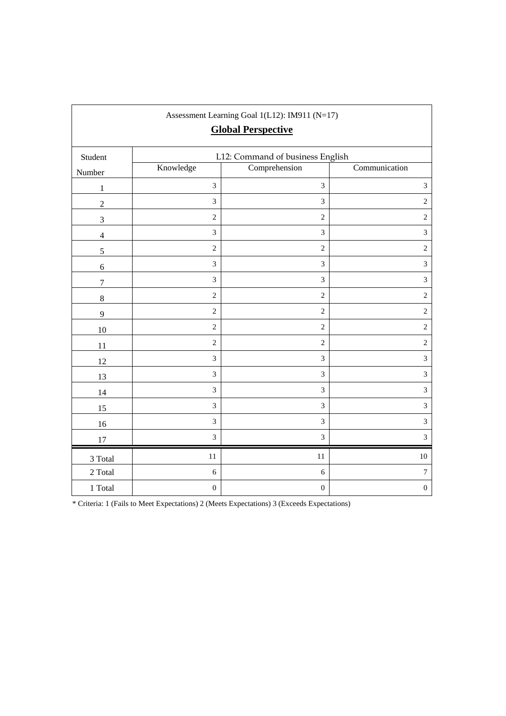| Assessment Learning Goal 1(L12): IM911 (N=17)<br><b>Global Perspective</b> |                                  |                  |                  |  |  |  |  |  |
|----------------------------------------------------------------------------|----------------------------------|------------------|------------------|--|--|--|--|--|
| Student                                                                    | L12: Command of business English |                  |                  |  |  |  |  |  |
| Number                                                                     | Knowledge                        | Comprehension    | Communication    |  |  |  |  |  |
| $\mathbf{1}$                                                               | $\mathfrak{Z}$                   | 3                | $\mathfrak{Z}$   |  |  |  |  |  |
| $\overline{2}$                                                             | $\mathfrak{Z}$                   | 3                | $\overline{2}$   |  |  |  |  |  |
| $\mathfrak{Z}$                                                             | $\overline{2}$                   | $\overline{2}$   | $\overline{2}$   |  |  |  |  |  |
| $\overline{4}$                                                             | $\overline{3}$                   | $\overline{3}$   | $\mathfrak{Z}$   |  |  |  |  |  |
| 5                                                                          | $\sqrt{2}$                       | $\sqrt{2}$       | $\sqrt{2}$       |  |  |  |  |  |
| 6                                                                          | $\mathfrak{Z}$                   | $\overline{3}$   | $\mathfrak{Z}$   |  |  |  |  |  |
| $\overline{7}$                                                             | $\overline{3}$                   | $\overline{3}$   | $\mathfrak{Z}$   |  |  |  |  |  |
| $\,8\,$                                                                    | $\overline{2}$                   | $\overline{2}$   | $\overline{2}$   |  |  |  |  |  |
| 9                                                                          | $\sqrt{2}$                       | $\sqrt{2}$       | $\sqrt{2}$       |  |  |  |  |  |
| 10                                                                         | $\overline{c}$                   | $\overline{c}$   | $\sqrt{2}$       |  |  |  |  |  |
| 11                                                                         | $\sqrt{2}$                       | $\sqrt{2}$       | $\sqrt{2}$       |  |  |  |  |  |
| 12                                                                         | 3                                | $\mathfrak{Z}$   | $\mathfrak{Z}$   |  |  |  |  |  |
| 13                                                                         | 3                                | $\overline{3}$   | $\mathfrak 3$    |  |  |  |  |  |
| 14                                                                         | $\mathfrak{Z}$                   | $\mathfrak{Z}$   | $\overline{3}$   |  |  |  |  |  |
| 15                                                                         | $\overline{3}$                   | $\mathfrak{Z}$   | $\overline{3}$   |  |  |  |  |  |
| 16                                                                         | $\mathfrak{Z}$                   | 3                | $\mathfrak{Z}$   |  |  |  |  |  |
| 17                                                                         | $\mathfrak{Z}$                   | $\mathfrak{Z}$   | $\overline{3}$   |  |  |  |  |  |
| 3 Total                                                                    | 11                               | $11\,$           | $10\,$           |  |  |  |  |  |
| 2 Total                                                                    | 6                                | $\sqrt{6}$       | $\boldsymbol{7}$ |  |  |  |  |  |
| 1 Total                                                                    | $\boldsymbol{0}$                 | $\boldsymbol{0}$ | $\boldsymbol{0}$ |  |  |  |  |  |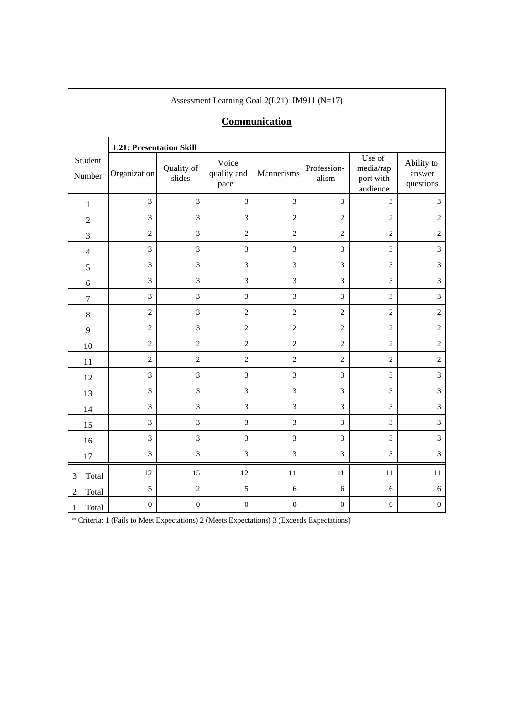|                         | $1.550055$ month Equating Sour $2(121)$ , $1.4711$ $(1.711)$<br><b>Communication</b> |                      |                              |                  |                      |                                              |                                   |
|-------------------------|--------------------------------------------------------------------------------------|----------------------|------------------------------|------------------|----------------------|----------------------------------------------|-----------------------------------|
| Student<br>Number       | <b>L21: Presentation Skill</b><br>Organization                                       | Quality of<br>slides | Voice<br>quality and<br>pace | Mannerisms       | Profession-<br>alism | Use of<br>media/rap<br>port with<br>audience | Ability to<br>answer<br>questions |
| $\mathbf{1}$            | $\mathfrak{Z}$                                                                       | $\mathfrak{Z}$       | $\overline{3}$               | $\mathfrak{Z}$   | 3                    | $\mathfrak{Z}$                               | $\overline{3}$                    |
| $\sqrt{2}$              | 3                                                                                    | 3                    | $\overline{3}$               | $\overline{2}$   | $\overline{2}$       | $\overline{2}$                               | $\overline{2}$                    |
| $\mathfrak{Z}$          | $\sqrt{2}$                                                                           | 3                    | $\overline{c}$               | $\overline{2}$   | $\sqrt{2}$           | $\overline{c}$                               | $\sqrt{2}$                        |
| $\overline{4}$          | 3                                                                                    | 3                    | 3                            | 3                | 3                    | $\overline{3}$                               | 3                                 |
| 5                       | 3                                                                                    | $\mathfrak{Z}$       | $\mathfrak{Z}$               | $\mathfrak{Z}$   | $\mathfrak{Z}$       | $\mathfrak{Z}$                               | $\overline{3}$                    |
| 6                       | 3                                                                                    | $\overline{3}$       | 3                            | 3                | 3                    | $\overline{3}$                               | $\overline{3}$                    |
| $\boldsymbol{7}$        | $\overline{3}$                                                                       | 3                    | 3                            | 3                | 3                    | $\overline{3}$                               | 3                                 |
| $\,8\,$                 | $\sqrt{2}$                                                                           | $\mathfrak{Z}$       | $\overline{c}$               | $\sqrt{2}$       | $\sqrt{2}$           | $\sqrt{2}$                                   | $\sqrt{2}$                        |
| $\overline{9}$          | $\overline{c}$                                                                       | $\overline{3}$       | $\overline{c}$               | $\overline{c}$   | $\overline{c}$       | $\overline{c}$                               | $\overline{2}$                    |
| 10                      | $\sqrt{2}$                                                                           | $\overline{2}$       | $\overline{c}$               | $\overline{2}$   | $\sqrt{2}$           | $\overline{c}$                               | $\sqrt{2}$                        |
| 11                      | $\overline{c}$                                                                       | $\overline{c}$       | $\overline{2}$               | $\overline{c}$   | $\overline{2}$       | $\overline{c}$                               | $\sqrt{2}$                        |
| 12                      | 3                                                                                    | $\mathfrak{Z}$       | $\mathfrak 3$                | $\mathfrak{Z}$   | $\mathfrak{Z}$       | $\mathfrak{Z}$                               | $\overline{3}$                    |
| 13                      | $\mathfrak{Z}$                                                                       | $\overline{3}$       | 3                            | 3                | 3                    | $\overline{3}$                               | 3                                 |
| 14                      | 3                                                                                    | 3                    | 3                            | 3                | 3                    | $\mathfrak{Z}$                               | 3                                 |
| 15                      | $\mathfrak{Z}$                                                                       | $\overline{3}$       | $\overline{3}$               | 3                | 3                    | $\overline{3}$                               | $\overline{3}$                    |
| 16                      | 3                                                                                    | 3                    | 3                            | 3                | 3                    | 3                                            | 3                                 |
| 17                      | 3                                                                                    | $\overline{3}$       | $\mathfrak{Z}$               | $\mathfrak{Z}$   | $\mathfrak{Z}$       | $\mathfrak{Z}$                               | $\overline{3}$                    |
| Total<br>3              | 12                                                                                   | 15                   | 12                           | $11\,$           | 11                   | 11                                           | $11\,$                            |
| Total<br>$\overline{2}$ | 5                                                                                    | $\overline{2}$       | 5                            | $\sqrt{6}$       | 6                    | 6                                            | $\sqrt{6}$                        |
| Total<br>1              | $\boldsymbol{0}$                                                                     | $\boldsymbol{0}$     | $\boldsymbol{0}$             | $\boldsymbol{0}$ | $\boldsymbol{0}$     | $\boldsymbol{0}$                             | $\boldsymbol{0}$                  |

Assessment Learning Goal 2(L21): IM911 (N=17)

 $\overline{\phantom{a}}$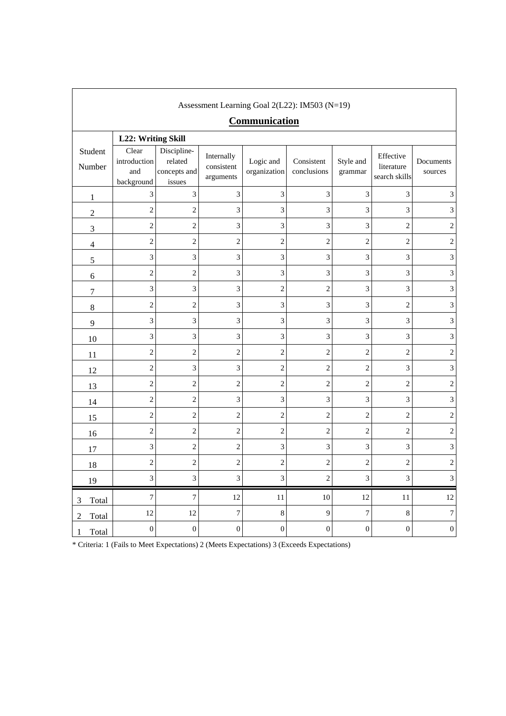| Assessment Learning Goal 2(L22): IM503 (N=19) |                                            |                                                  |                                       |                           |                                                                                            |                      |                                          |                      |  |
|-----------------------------------------------|--------------------------------------------|--------------------------------------------------|---------------------------------------|---------------------------|--------------------------------------------------------------------------------------------|----------------------|------------------------------------------|----------------------|--|
|                                               | Communication                              |                                                  |                                       |                           |                                                                                            |                      |                                          |                      |  |
|                                               | L22: Writing Skill                         |                                                  |                                       |                           |                                                                                            |                      |                                          |                      |  |
| Student<br>Number                             | Clear<br>introduction<br>and<br>background | Discipline-<br>related<br>concepts and<br>issues | Internally<br>consistent<br>arguments | Logic and<br>organization | Consistent<br>conclusions                                                                  | Style and<br>grammar | Effective<br>literature<br>search skills | Documents<br>sources |  |
| $\mathbf{1}$                                  | 3                                          | 3                                                | 3                                     | 3                         | 3                                                                                          | 3                    | 3                                        | 3                    |  |
| $\overline{2}$                                | $\overline{c}$                             | $\overline{c}$                                   | 3                                     | 3                         | 3                                                                                          | 3                    | 3                                        | 3                    |  |
| 3                                             | 2                                          | $\overline{c}$                                   | $\mathfrak{Z}$                        | 3                         | 3                                                                                          | 3                    | 2                                        | 2                    |  |
| $\overline{4}$                                | $\overline{c}$                             | $\overline{2}$                                   | $\overline{c}$                        | $\overline{c}$            | $\,2$                                                                                      | $\overline{c}$       | $\overline{c}$                           | 2                    |  |
| 5                                             | 3                                          | 3                                                | 3                                     | 3                         | 3                                                                                          | 3                    | 3                                        | 3                    |  |
| 6                                             | $\overline{c}$                             | $\overline{c}$                                   | 3                                     | 3                         | 3                                                                                          | 3                    | 3                                        | 3                    |  |
| 7                                             | 3                                          | 3                                                | 3                                     | $\overline{c}$            | $\overline{c}$                                                                             | 3                    | 3                                        | 3                    |  |
| $8\,$                                         | $\overline{c}$                             | $\overline{c}$                                   | 3                                     | 3                         | 3                                                                                          | 3                    | $\overline{c}$                           | 3                    |  |
| 9                                             | 3                                          | 3                                                | 3                                     | 3                         | 3                                                                                          | 3                    | 3                                        | 3                    |  |
| 10                                            | 3                                          | 3                                                | 3                                     | 3                         | 3                                                                                          | 3                    | 3                                        | 3                    |  |
| 11                                            | $\overline{c}$                             | $\overline{c}$                                   | $\overline{c}$                        | $\overline{c}$            | $\overline{c}$                                                                             | $\overline{c}$       | $\overline{c}$                           | $\overline{c}$       |  |
| 12                                            | $\overline{c}$                             | 3                                                | 3                                     | $\overline{c}$            | $\mathfrak{2}$                                                                             | $\overline{c}$       | 3                                        | 3                    |  |
| 13                                            | $\overline{c}$                             | $\overline{c}$                                   | $\overline{c}$                        | $\overline{c}$            | $\overline{c}$                                                                             | $\overline{2}$       | $\overline{c}$                           | $\overline{c}$       |  |
| 14                                            | $\overline{\mathbf{c}}$                    | 2                                                | $\mathfrak{Z}$                        | 3                         | 3                                                                                          | 3                    | 3                                        | 3                    |  |
| 15                                            | $\overline{c}$                             | $\overline{c}$                                   | $\overline{c}$                        | $\overline{c}$            | $\mathfrak{2}$                                                                             | $\overline{c}$       | $\overline{c}$                           | 2                    |  |
| 16                                            | $\overline{c}$                             | $\overline{c}$                                   | $\overline{c}$                        | $\overline{c}$            | $\overline{2}$                                                                             | $\overline{c}$       | $\overline{c}$                           | $\sqrt{2}$           |  |
| 17                                            | 3                                          | $\overline{c}$                                   | $\overline{c}$                        | 3                         | 3                                                                                          | 3                    | 3                                        | 3                    |  |
| 18                                            | $\overline{c}$                             | $\overline{c}$                                   | $\overline{c}$                        | $\overline{c}$            | $\overline{c}$                                                                             | $\overline{c}$       | 2                                        | $\overline{c}$       |  |
| 19                                            | 3                                          | 3                                                | 3                                     | 3                         | $\sqrt{2}$                                                                                 | 3                    | 3                                        | $\mathfrak{Z}$       |  |
| Total<br>3                                    | 7                                          | $\boldsymbol{7}$                                 | 12                                    | 11                        | $10\,$                                                                                     | 12                   | $11\,$                                   | 12                   |  |
| $\overline{c}$<br>Total                       | 12                                         | 12                                               | 7                                     | 8                         | $\overline{9}$                                                                             | 7                    | $8\,$                                    | $\overline{7}$       |  |
| Total<br>1                                    | $\boldsymbol{0}$                           | $\boldsymbol{0}$                                 | $\boldsymbol{0}$                      | $\boldsymbol{0}$          | $\boldsymbol{0}$                                                                           | $\boldsymbol{0}$     | $\boldsymbol{0}$                         | $\boldsymbol{0}$     |  |
|                                               |                                            |                                                  |                                       |                           | * Criteria: 1 (Fails to Meet Expectations) 2 (Meets Expectations) 3 (Exceeds Expectations) |                      |                                          |                      |  |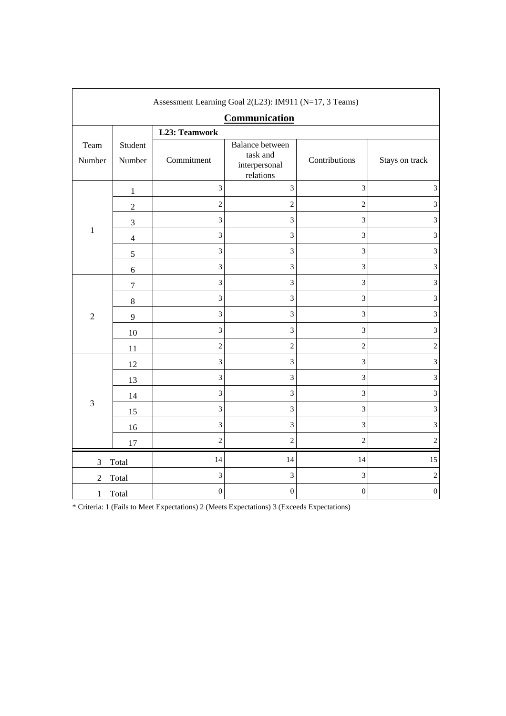| Assessment Learning Goal 2(L23): IM911 (N=17, 3 Teams) |                   |                  |                                                                  |                  |                             |  |  |  |  |
|--------------------------------------------------------|-------------------|------------------|------------------------------------------------------------------|------------------|-----------------------------|--|--|--|--|
|                                                        |                   |                  | Communication                                                    |                  |                             |  |  |  |  |
|                                                        | L23: Teamwork     |                  |                                                                  |                  |                             |  |  |  |  |
| Team<br>Number                                         | Student<br>Number | Commitment       | <b>Balance between</b><br>task and<br>interpersonal<br>relations | Contributions    | Stays on track              |  |  |  |  |
|                                                        | $\,1$             | 3                | $\mathfrak{Z}$                                                   | 3                | $\ensuremath{\mathfrak{Z}}$ |  |  |  |  |
|                                                        | $\boldsymbol{2}$  | $\overline{c}$   | $\overline{c}$                                                   | $\overline{c}$   | 3                           |  |  |  |  |
|                                                        | $\mathfrak{Z}$    | 3                | 3                                                                | 3                | 3                           |  |  |  |  |
| $\mathbf{1}$                                           | $\overline{4}$    | $\mathfrak{Z}$   | 3                                                                | 3                | 3                           |  |  |  |  |
|                                                        | 5                 | 3                | 3                                                                | 3                | 3                           |  |  |  |  |
|                                                        | 6                 | $\overline{3}$   | 3                                                                | 3                | 3                           |  |  |  |  |
|                                                        | $\boldsymbol{7}$  | $\overline{3}$   | 3                                                                | 3                | 3                           |  |  |  |  |
|                                                        | $8\,$             | $\overline{3}$   | $\mathfrak{Z}$                                                   | 3                | $\mathfrak{Z}$              |  |  |  |  |
| $\overline{2}$                                         | 9                 | $\overline{3}$   | 3                                                                | 3                | 3                           |  |  |  |  |
|                                                        | $10\,$            | 3                | $\mathfrak{Z}$                                                   | 3                | $\mathfrak{Z}$              |  |  |  |  |
|                                                        | 11                | $\overline{2}$   | $\overline{c}$                                                   | $\overline{c}$   | $\sqrt{2}$                  |  |  |  |  |
|                                                        | 12                | 3                | $\overline{3}$                                                   | 3                | $\ensuremath{\mathfrak{Z}}$ |  |  |  |  |
|                                                        | 13                | 3                | 3                                                                | 3                | $\mathfrak 3$               |  |  |  |  |
|                                                        | 14                | $\overline{3}$   | 3                                                                | 3                | $\mathfrak 3$               |  |  |  |  |
| $\mathfrak{B}$                                         | 15                | $\overline{3}$   | 3                                                                | 3                | 3                           |  |  |  |  |
|                                                        | 16                | $\overline{3}$   | 3                                                                | 3                | 3                           |  |  |  |  |
|                                                        | 17                | $\overline{c}$   | $\overline{c}$                                                   | $\overline{c}$   | $\sqrt{2}$                  |  |  |  |  |
| $\mathfrak{Z}$                                         | Total             | 14               | 14                                                               | 14               | 15                          |  |  |  |  |
| $\overline{2}$                                         | Total             | 3                | 3                                                                | 3                | $\mathbf{2}$                |  |  |  |  |
| 1                                                      | Total             | $\boldsymbol{0}$ | $\boldsymbol{0}$                                                 | $\boldsymbol{0}$ | $\boldsymbol{0}$            |  |  |  |  |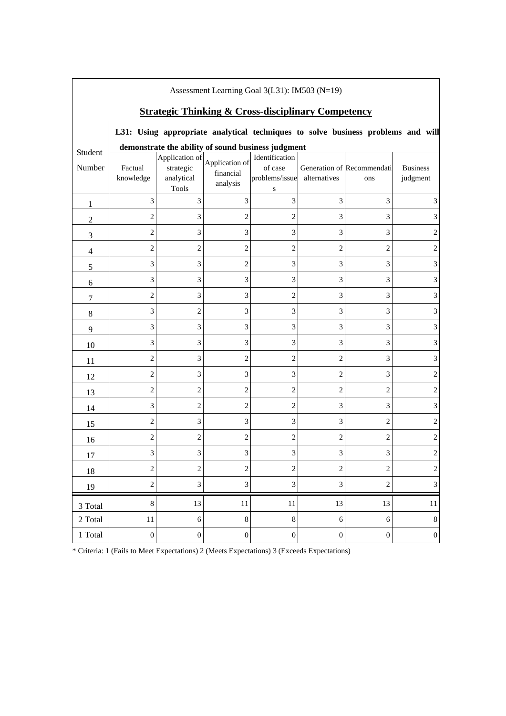| Assessment Learning Goal 3(L31): IM503 (N=19) |                                                               |                                                           |                                         |                                                    |                         |                                                                                  |                             |  |  |
|-----------------------------------------------|---------------------------------------------------------------|-----------------------------------------------------------|-----------------------------------------|----------------------------------------------------|-------------------------|----------------------------------------------------------------------------------|-----------------------------|--|--|
|                                               | <b>Strategic Thinking &amp; Cross-disciplinary Competency</b> |                                                           |                                         |                                                    |                         |                                                                                  |                             |  |  |
|                                               |                                                               |                                                           |                                         |                                                    |                         | L31: Using appropriate analytical techniques to solve business problems and will |                             |  |  |
| Student                                       |                                                               |                                                           |                                         | demonstrate the ability of sound business judgment |                         |                                                                                  |                             |  |  |
| Number                                        | Factual<br>knowledge                                          | Application of<br>strategic<br>analytical<br><b>Tools</b> | Application of<br>financial<br>analysis | Identification<br>of case<br>problems/issue<br>S   | alternatives            | Generation of Recommendati<br>ons                                                | <b>Business</b><br>judgment |  |  |
| 1                                             | 3                                                             | 3                                                         | 3                                       | 3                                                  | 3                       | 3                                                                                | 3                           |  |  |
| $\overline{2}$                                | $\overline{c}$                                                | 3                                                         | 2                                       | $\overline{2}$                                     | 3                       | 3                                                                                |                             |  |  |
| 3                                             | $\overline{c}$                                                | 3                                                         | 3                                       | 3                                                  | 3                       | 3                                                                                | 2                           |  |  |
| $\overline{4}$                                | $\overline{c}$                                                | $\overline{c}$                                            | 2                                       | 2                                                  | $\overline{c}$          | $\overline{\mathbf{c}}$                                                          | $\overline{2}$              |  |  |
| 5                                             | 3                                                             | 3                                                         | $\overline{c}$                          | 3                                                  | 3                       | 3                                                                                | 3                           |  |  |
| 6                                             | 3                                                             | 3                                                         | 3                                       | 3                                                  | 3                       | 3                                                                                | 3                           |  |  |
| 7                                             | $\overline{c}$                                                | 3                                                         | 3                                       | $\overline{2}$                                     | 3                       | 3                                                                                | 3                           |  |  |
| $\,8\,$                                       | 3                                                             | $\overline{c}$                                            | 3                                       | 3                                                  | 3                       | 3                                                                                | $\mathfrak{Z}$              |  |  |
| 9                                             | 3                                                             | 3                                                         | 3                                       | 3                                                  | 3                       | 3                                                                                | 3                           |  |  |
| 10                                            | 3                                                             | 3                                                         | 3                                       | 3                                                  | 3                       | 3                                                                                | 3                           |  |  |
| 11                                            | $\overline{c}$                                                | 3                                                         | $\overline{c}$                          | $\overline{2}$                                     | $\overline{c}$          | 3                                                                                | 3                           |  |  |
| 12                                            | $\overline{2}$                                                | 3                                                         | 3                                       | 3                                                  | 2                       | 3                                                                                | 2                           |  |  |
| 13                                            | $\overline{c}$                                                | $\overline{c}$                                            | 2                                       | 2                                                  | $\overline{c}$          | $\overline{\mathbf{c}}$                                                          | 2                           |  |  |
| 14                                            | 3                                                             | $\overline{c}$                                            | 2                                       | $\overline{2}$                                     | 3                       | 3                                                                                | 3                           |  |  |
| 15                                            | $\overline{c}$                                                | 3                                                         | 3                                       | 3                                                  | 3                       | $\overline{c}$                                                                   | 2                           |  |  |
| 16                                            | $\overline{c}$                                                | $\overline{c}$                                            | $\overline{c}$                          | $\overline{2}$                                     | $\overline{c}$          | $\overline{c}$                                                                   | 2                           |  |  |
| 17                                            | 3                                                             | 3                                                         | 3                                       | 3                                                  | 3                       | 3                                                                                | $\mathbf{2}$                |  |  |
| 18                                            | $\overline{\mathbf{c}}$                                       | $\overline{\mathbf{c}}$                                   | $\overline{\mathbf{c}}$                 | $\overline{z}$                                     | $\overline{\mathbf{c}}$ | $\overline{\mathbf{c}}$                                                          |                             |  |  |
| 19                                            | $\boldsymbol{2}$                                              | 3                                                         | 3                                       | $\mathfrak{Z}$                                     | $\mathfrak{Z}$          | $\sqrt{2}$                                                                       | $\mathfrak{Z}$              |  |  |
| 3 Total                                       | $\,8\,$                                                       | 13                                                        | 11                                      | 11                                                 | 13                      | 13                                                                               | 11                          |  |  |
| 2 Total                                       | $11\,$                                                        | $\sqrt{6}$                                                | $8\,$                                   | $\,8\,$                                            | 6                       | $\sqrt{6}$                                                                       | $\,8\,$                     |  |  |
| 1 Total                                       | $\boldsymbol{0}$                                              | $\boldsymbol{0}$                                          | $\boldsymbol{0}$                        | $\boldsymbol{0}$                                   | $\boldsymbol{0}$        | $\boldsymbol{0}$                                                                 | $\boldsymbol{0}$            |  |  |

 $\Gamma$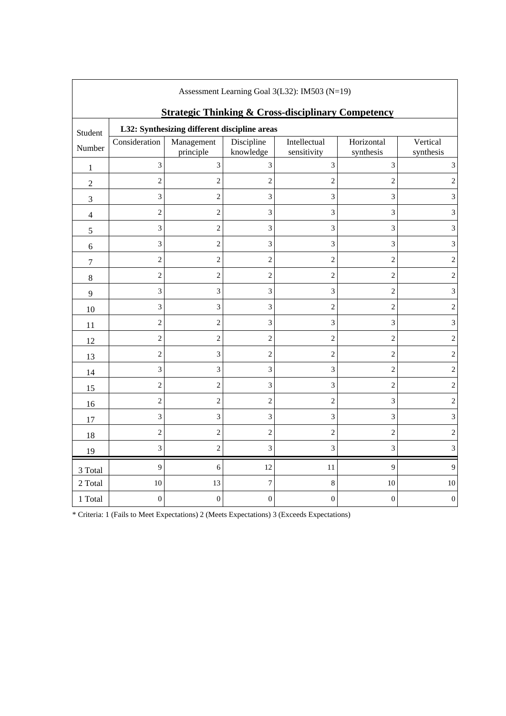| Assessment Learning Goal 3(L32): IM503 (N=19)                 |                                              |                             |                         |                             |                         |                             |  |  |
|---------------------------------------------------------------|----------------------------------------------|-----------------------------|-------------------------|-----------------------------|-------------------------|-----------------------------|--|--|
| <b>Strategic Thinking &amp; Cross-disciplinary Competency</b> |                                              |                             |                         |                             |                         |                             |  |  |
| Student                                                       | L32: Synthesizing different discipline areas |                             |                         |                             |                         |                             |  |  |
| Number                                                        | Consideration                                | Management<br>principle     | Discipline<br>knowledge | Intellectual<br>sensitivity | Horizontal<br>synthesis | Vertical<br>synthesis       |  |  |
| 1                                                             | 3                                            | 3                           | 3                       | $\ensuremath{\mathfrak{Z}}$ | 3                       | 3                           |  |  |
| $\overline{2}$                                                | $\mathfrak{2}$                               | $\boldsymbol{2}$            | $\overline{c}$          | $\overline{c}$              | $\overline{c}$          |                             |  |  |
| $\mathfrak{Z}$                                                | 3                                            | $\boldsymbol{2}$            | 3                       | 3                           | 3                       | 3                           |  |  |
| $\overline{4}$                                                | $\mathbf{2}$                                 | $\overline{c}$              | 3                       | $\mathfrak{Z}$              | 3                       | 3                           |  |  |
| 5                                                             | 3                                            | $\overline{c}$              | 3                       | 3                           | 3                       | 3                           |  |  |
| 6                                                             | 3                                            | $\sqrt{2}$                  | 3                       | $\ensuremath{\mathfrak{Z}}$ | 3                       | 3                           |  |  |
| $\tau$                                                        | $\overline{c}$                               | $\overline{c}$              | $\overline{c}$          | $\overline{c}$              | $\overline{c}$          | $\overline{c}$              |  |  |
| $\,8\,$                                                       | $\overline{2}$                               | $\overline{c}$              | $\overline{c}$          | $\mathbf{2}$                | $\overline{c}$          | $\overline{2}$              |  |  |
| 9                                                             | 3                                            | $\mathfrak{Z}$              | 3                       | $\ensuremath{\mathfrak{Z}}$ | $\overline{c}$          | 3                           |  |  |
| 10                                                            | 3                                            | 3                           | 3                       | $\overline{2}$              | $\overline{c}$          | 2                           |  |  |
| 11                                                            | $\overline{c}$                               | $\overline{c}$              | 3                       | $\ensuremath{\mathfrak{Z}}$ | 3                       | $\ensuremath{\mathfrak{Z}}$ |  |  |
| 12                                                            | $\overline{c}$                               | $\overline{c}$              | $\overline{c}$          | $\sqrt{2}$                  | $\overline{c}$          | $\overline{c}$              |  |  |
| 13                                                            | $\mathfrak{2}$                               | $\ensuremath{\mathfrak{Z}}$ | $\overline{c}$          | $\overline{c}$              | $\overline{c}$          | $\overline{2}$              |  |  |
| 14                                                            | 3                                            | 3                           | 3                       | $\mathfrak{Z}$              | $\overline{2}$          | $\overline{c}$              |  |  |
| 15                                                            | $\overline{c}$                               | $\overline{c}$              | 3                       | 3                           | $\overline{c}$          | 2                           |  |  |
| 16                                                            | $\mathfrak{2}$                               | $\overline{c}$              | $\overline{c}$          | $\sqrt{2}$                  | 3                       | $\overline{2}$              |  |  |
| 17                                                            | 3                                            | 3                           | 3                       | 3                           | 3                       | 3                           |  |  |
| 18                                                            | $\mathfrak{2}$                               | $\overline{c}$              | $\overline{c}$          | $\sqrt{2}$                  | $\overline{c}$          | 2                           |  |  |
| 19                                                            | $\overline{3}$                               | $\mathbf{2}$                | 3                       | 3                           | 3                       | 3                           |  |  |
| 3 Total                                                       | 9                                            | 6                           | 12                      | 11                          | 9                       | 9                           |  |  |
| 2 Total                                                       | 10                                           | 13                          | $\boldsymbol{7}$        | $\,8\,$                     | 10                      | 10                          |  |  |
| 1 Total                                                       | $\boldsymbol{0}$                             | $\boldsymbol{0}$            | $\boldsymbol{0}$        | $\boldsymbol{0}$            | $\boldsymbol{0}$        | $\boldsymbol{0}$            |  |  |

٦

\* Criteria: 1 (Fails to Meet Expectations) 2 (Meets Expectations) 3 (Exceeds Expectations)

 $\Gamma$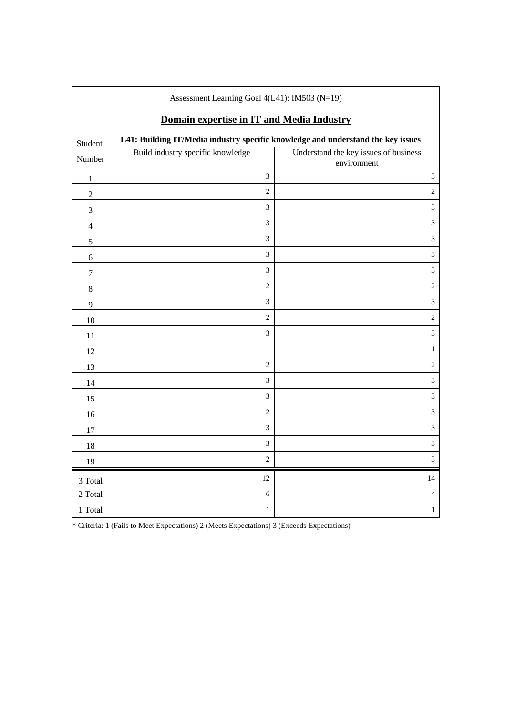| Assessment Learning Goal $4(L41)$ : IM503 (N=19)                                            |                                   |                                                      |  |  |  |  |
|---------------------------------------------------------------------------------------------|-----------------------------------|------------------------------------------------------|--|--|--|--|
| Domain expertise in IT and Media Industry                                                   |                                   |                                                      |  |  |  |  |
| L41: Building IT/Media industry specific knowledge and understand the key issues<br>Student |                                   |                                                      |  |  |  |  |
| Number                                                                                      | Build industry specific knowledge | Understand the key issues of business<br>environment |  |  |  |  |
| $\,1\,$                                                                                     | $\overline{3}$                    | $\overline{3}$                                       |  |  |  |  |
| $\sqrt{2}$                                                                                  | $\overline{2}$                    | $\overline{c}$                                       |  |  |  |  |
| 3                                                                                           | $\mathfrak{Z}$                    | 3                                                    |  |  |  |  |
| $\overline{\mathcal{L}}$                                                                    | $\overline{3}$                    | 3                                                    |  |  |  |  |
| 5                                                                                           | $\overline{3}$                    | $\overline{3}$                                       |  |  |  |  |
| $\sqrt{6}$                                                                                  | $\mathfrak{Z}$                    | 3                                                    |  |  |  |  |
| $\boldsymbol{7}$                                                                            | 3                                 | 3                                                    |  |  |  |  |
| $8\,$                                                                                       | $\overline{c}$                    | $\overline{2}$                                       |  |  |  |  |
| 9                                                                                           | 3                                 | 3                                                    |  |  |  |  |
| $10\,$                                                                                      | $\overline{2}$                    | $\sqrt{2}$                                           |  |  |  |  |
| 11                                                                                          | $\overline{3}$                    | 3                                                    |  |  |  |  |
| 12                                                                                          | $\mathbf{1}$                      | $\,1$                                                |  |  |  |  |
| 13                                                                                          | $\overline{c}$                    | $\sqrt{2}$                                           |  |  |  |  |
| 14                                                                                          | $\overline{3}$                    | 3                                                    |  |  |  |  |
| 15                                                                                          | $\mathfrak{Z}$                    | 3                                                    |  |  |  |  |
| 16                                                                                          | $\overline{2}$                    | 3                                                    |  |  |  |  |
| 17                                                                                          | $\overline{3}$                    | $\overline{3}$                                       |  |  |  |  |
| 18                                                                                          | 3                                 | 3                                                    |  |  |  |  |
| 19                                                                                          | $\overline{2}$                    | 3                                                    |  |  |  |  |
| 3 Total                                                                                     | 12                                | 14                                                   |  |  |  |  |
| 2 Total                                                                                     | $\sqrt{6}$                        | $\overline{4}$                                       |  |  |  |  |
| 1 Total                                                                                     | $\mathbf{1}$                      | $\,1$                                                |  |  |  |  |

Assessment Learning Goal 4(L41): IM503 (N=19)

 $\mathsf{l}$ 

 $\overline{\phantom{a}}$